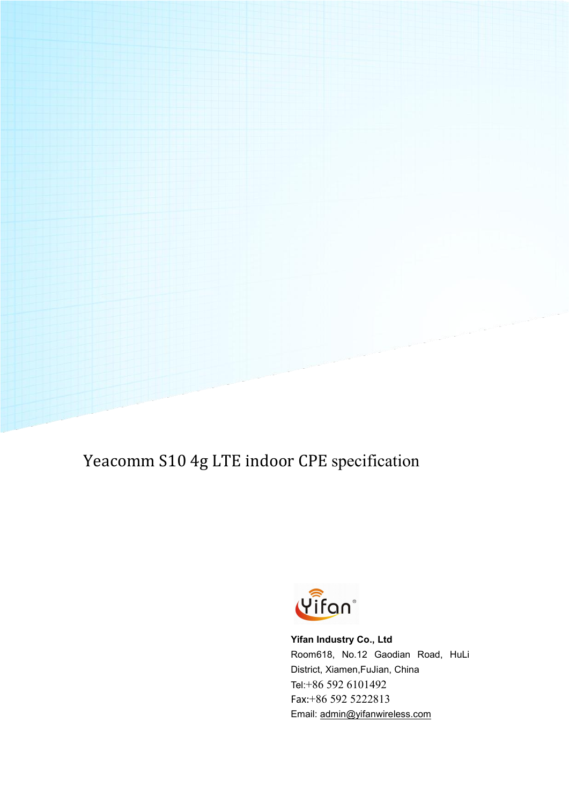Yeacomm S10 4g LTE indoor CPE specification



**Yifan Industry Co., Ltd** Room618, No.12 Gaodian Road, HuLi District, Xiamen,FuJian, China Tel:+86 592 6101492 Fax:+86 592 5222813 Email: [admin@yifanwireless.com](mailto:admin@yifanwireless.com)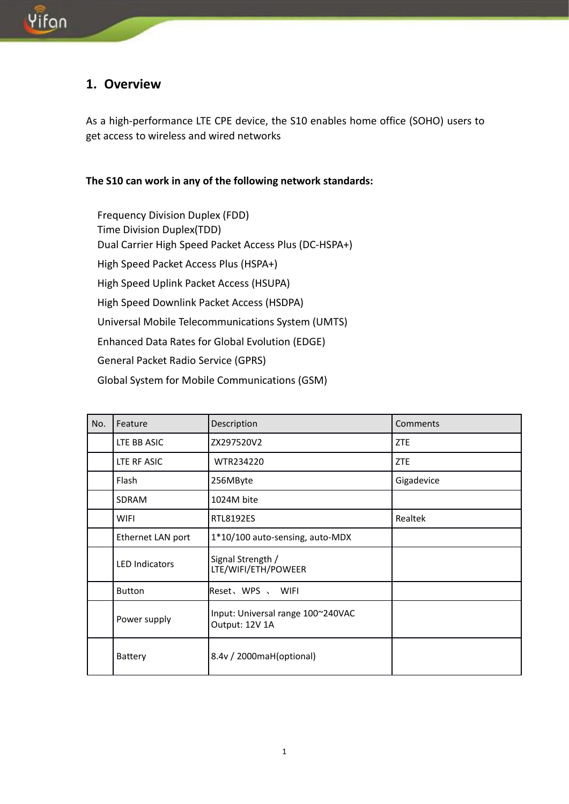#### **1. Overview**

As a high-performance LTE CPE device, the S10 enables home office (SOHO) users to get access to wireless and wired networks

#### **The S10 can work in any of the following network standards:**

Frequency Division Duplex (FDD) Time Division Duplex(TDD) Dual Carrier High Speed Packet Access Plus (DC-HSPA+) High Speed Packet Access Plus (HSPA+) High Speed Uplink Packet Access (HSUPA) High Speed Downlink Packet Access (HSDPA) Universal Mobile Telecommunications System (UMTS) Enhanced Data Rates for Global Evolution (EDGE) General Packet Radio Service (GPRS) Global System for Mobile Communications (GSM)

| No. | Feature               | Description                                         | Comments   |
|-----|-----------------------|-----------------------------------------------------|------------|
|     | LTE BB ASIC           | ZX297520V2                                          | ZTE        |
|     | LTE RF ASIC           | WTR234220                                           | ZTE        |
|     | Flash                 | 256MByte                                            | Gigadevice |
|     | SDRAM                 | 1024M bite                                          |            |
|     | <b>WIFI</b>           | <b>RTL8192ES</b>                                    | Realtek    |
|     | Ethernet LAN port     | 1*10/100 auto-sensing, auto-MDX                     |            |
|     | <b>LED Indicators</b> | Signal Strength /<br>LTE/WIFI/ETH/POWEER            |            |
|     | <b>Button</b>         | Reset、WPS 、 WIFI                                    |            |
|     | Power supply          | Input: Universal range 100~240VAC<br>Output: 12V 1A |            |
|     | Battery               | 8.4v / 2000maH(optional)                            |            |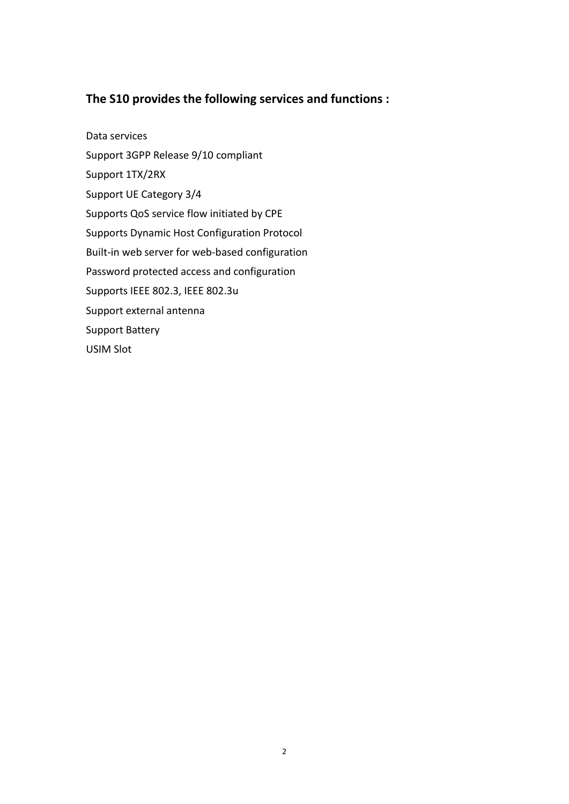#### **The S10 provides the following services and functions :**

Data services Support 3GPP Release 9/10 compliant Support 1TX/2RX Support UE Category 3/4 Supports QoS service flow initiated by CPE Supports Dynamic Host Configuration Protocol Built-in web server for web-based configuration Password protected access and configuration Supports IEEE 802.3, IEEE 802.3u Support external antenna Support Battery USIM Slot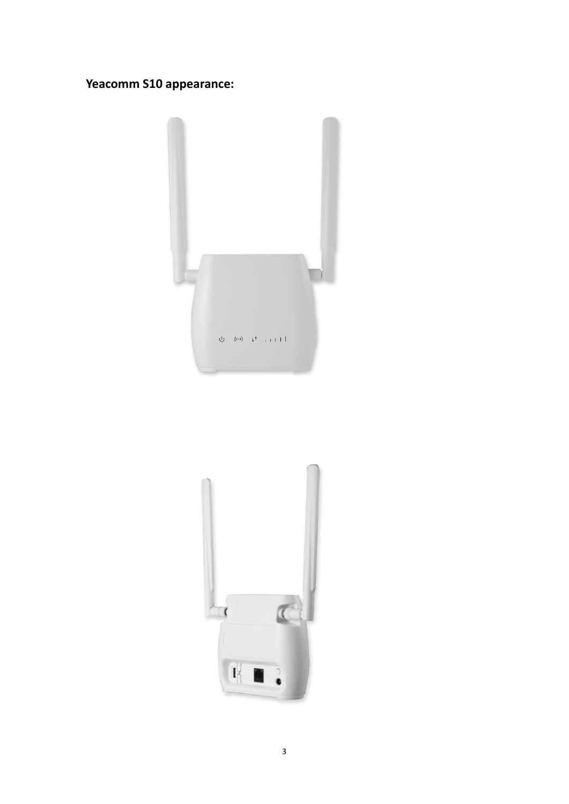#### **Yeacomm S10 appearance:**



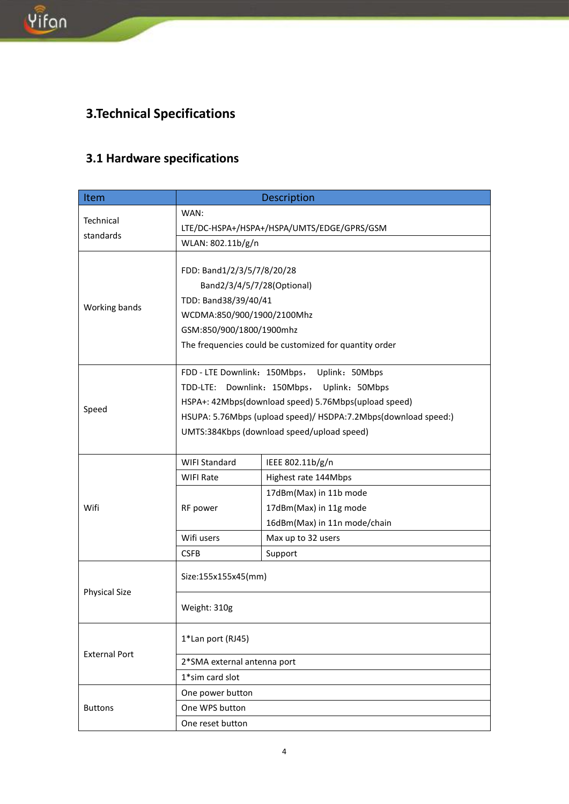# **3.Technical Specifications**

## **3.1 Hardware specifications**

| Item                 | <b>Description</b>                                             |                                             |  |  |
|----------------------|----------------------------------------------------------------|---------------------------------------------|--|--|
| Technical            | WAN:                                                           |                                             |  |  |
| standards            | LTE/DC-HSPA+/HSPA+/HSPA/UMTS/EDGE/GPRS/GSM                     |                                             |  |  |
|                      | WLAN: 802.11b/g/n                                              |                                             |  |  |
|                      |                                                                |                                             |  |  |
|                      | FDD: Band1/2/3/5/7/8/20/28<br>Band2/3/4/5/7/28(Optional)       |                                             |  |  |
|                      |                                                                |                                             |  |  |
| Working bands        | TDD: Band38/39/40/41                                           |                                             |  |  |
|                      | WCDMA:850/900/1900/2100Mhz                                     |                                             |  |  |
|                      | GSM:850/900/1800/1900mhz                                       |                                             |  |  |
|                      | The frequencies could be customized for quantity order         |                                             |  |  |
|                      |                                                                | FDD - LTE Downlink: 150Mbps, Uplink: 50Mbps |  |  |
|                      | TDD-LTE: Downlink: 150Mbps,<br>Uplink: 50Mbps                  |                                             |  |  |
|                      | HSPA+: 42Mbps(download speed) 5.76Mbps(upload speed)           |                                             |  |  |
| Speed                | HSUPA: 5.76Mbps (upload speed)/ HSDPA:7.2Mbps(download speed:) |                                             |  |  |
|                      | UMTS:384Kbps (download speed/upload speed)                     |                                             |  |  |
|                      |                                                                |                                             |  |  |
|                      | <b>WIFI Standard</b>                                           | IEEE 802.11b/g/n                            |  |  |
|                      | <b>WIFI Rate</b>                                               | Highest rate 144Mbps                        |  |  |
|                      |                                                                | 17dBm(Max) in 11b mode                      |  |  |
| Wifi                 | RF power                                                       | 17dBm(Max) in 11g mode                      |  |  |
|                      |                                                                | 16dBm(Max) in 11n mode/chain                |  |  |
|                      | Wifi users                                                     | Max up to 32 users                          |  |  |
|                      | <b>CSFB</b>                                                    | Support                                     |  |  |
|                      | Size:155x155x45(mm)                                            |                                             |  |  |
| <b>Physical Size</b> |                                                                |                                             |  |  |
|                      | Weight: 310g                                                   |                                             |  |  |
|                      |                                                                |                                             |  |  |
|                      | 1*Lan port (RJ45)                                              |                                             |  |  |
| <b>External Port</b> |                                                                |                                             |  |  |
|                      | 2*SMA external antenna port                                    |                                             |  |  |
|                      | 1*sim card slot                                                |                                             |  |  |
|                      | One power button                                               |                                             |  |  |
| <b>Buttons</b>       | One WPS button                                                 |                                             |  |  |
|                      | One reset button                                               |                                             |  |  |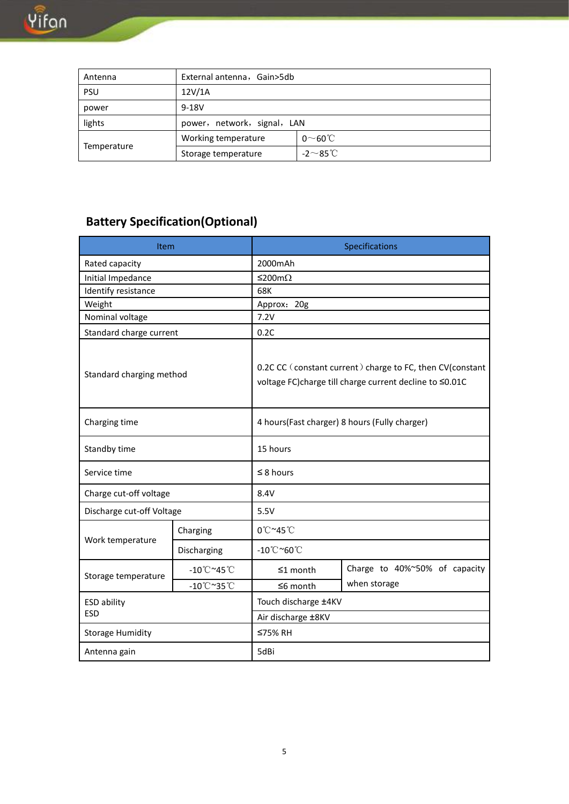| Antenna     | External antenna, Gain>5db  |                  |  |
|-------------|-----------------------------|------------------|--|
| PSU         | 12V/1A                      |                  |  |
| power       | $9 - 18V$                   |                  |  |
| lights      | power, network, signal, LAN |                  |  |
|             | Working temperature         | $0 \sim 60$ °C   |  |
| Temperature | Storage temperature         | -2 $\sim$ 85°C i |  |

## **Battery Specification(Optional)**

| Item                      |                                 | Specifications                                                                                                       |                               |  |  |
|---------------------------|---------------------------------|----------------------------------------------------------------------------------------------------------------------|-------------------------------|--|--|
| Rated capacity            |                                 | 2000mAh                                                                                                              |                               |  |  |
| Initial Impedance         |                                 | $≤$ 200mΩ                                                                                                            |                               |  |  |
| Identify resistance       |                                 | 68K                                                                                                                  |                               |  |  |
| Weight                    |                                 | Approx: 20g                                                                                                          |                               |  |  |
| Nominal voltage           |                                 |                                                                                                                      | 7.2V                          |  |  |
| Standard charge current   |                                 | 0.2C                                                                                                                 |                               |  |  |
| Standard charging method  |                                 | 0.2C CC (constant current) charge to FC, then CV(constant<br>voltage FC)charge till charge current decline to ≤0.01C |                               |  |  |
| Charging time             |                                 | 4 hours(Fast charger) 8 hours (Fully charger)                                                                        |                               |  |  |
| Standby time              |                                 | 15 hours                                                                                                             |                               |  |  |
| Service time              |                                 | $\leq$ 8 hours                                                                                                       |                               |  |  |
| Charge cut-off voltage    |                                 | 8.4V                                                                                                                 |                               |  |  |
| Discharge cut-off Voltage |                                 | 5.5V                                                                                                                 |                               |  |  |
| Work temperature          | Charging                        | 0°C~45°C                                                                                                             |                               |  |  |
|                           | Discharging                     | $-10^{\circ}$ C~60 $^{\circ}$ C                                                                                      |                               |  |  |
| Storage temperature       | $-10^{\circ}$ C~45 $^{\circ}$ C | $\leq 1$ month                                                                                                       | Charge to 40%~50% of capacity |  |  |
|                           | $-10^{\circ}$ C~35 $^{\circ}$ C | $≤ 6$ month                                                                                                          | when storage                  |  |  |
| <b>ESD ability</b>        |                                 | Touch discharge ±4KV                                                                                                 |                               |  |  |
| <b>ESD</b>                |                                 | Air discharge ±8KV                                                                                                   |                               |  |  |
| <b>Storage Humidity</b>   |                                 | ≤75% RH                                                                                                              |                               |  |  |
| Antenna gain              |                                 | 5dBi                                                                                                                 |                               |  |  |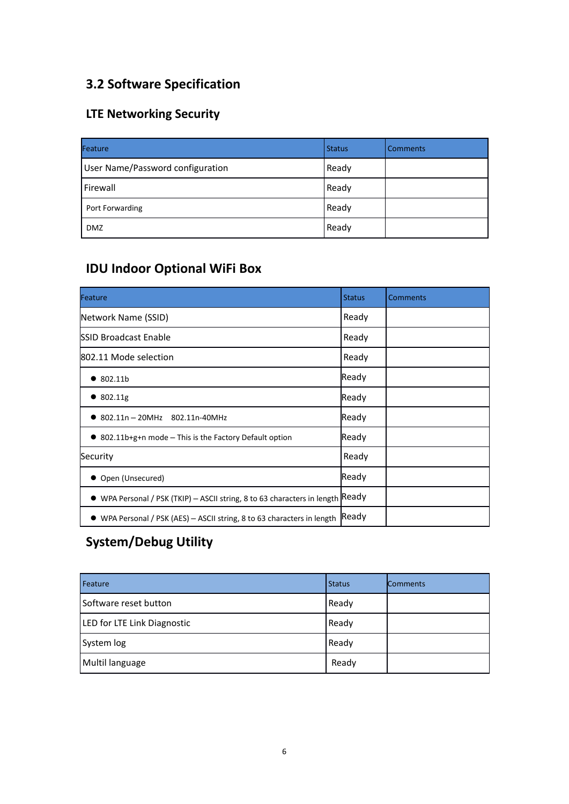#### **3.2 Software Specification**

#### **LTE Networking Security**

| Feature                          | <b>Status</b> | <b>Comments</b> |
|----------------------------------|---------------|-----------------|
| User Name/Password configuration | Ready         |                 |
| Firewall                         | Ready         |                 |
| Port Forwarding                  | Ready         |                 |
| <b>DMZ</b>                       | Ready         |                 |

#### **IDU Indoor Optional WiFi Box**

| Feature                                                                      | <b>Status</b> | <b>Comments</b> |
|------------------------------------------------------------------------------|---------------|-----------------|
| Network Name (SSID)                                                          | Ready         |                 |
| <b>ISSID Broadcast Enable</b>                                                | Ready         |                 |
| 802.11 Mode selection                                                        | Ready         |                 |
| 802.11b                                                                      | Ready         |                 |
| $\bullet$ 802.11g                                                            | Ready         |                 |
| 802.11n - 20MHz 802.11n-40MHz                                                | Ready         |                 |
| $\bullet$ 802.11b+g+n mode - This is the Factory Default option              | Ready         |                 |
| Security                                                                     | Ready         |                 |
| Open (Unsecured)                                                             | Ready         |                 |
| WPA Personal / PSK (TKIP) - ASCII string, 8 to 63 characters in length Ready |               |                 |
| • WPA Personal / PSK (AES) – ASCII string, 8 to 63 characters in length      | Ready         |                 |

## **System/Debug Utility**

| Feature                     | <b>Status</b> | <b>Comments</b> |
|-----------------------------|---------------|-----------------|
| Software reset button       | Ready         |                 |
| LED for LTE Link Diagnostic | Ready         |                 |
| System log                  | Ready         |                 |
| Multil language             | Ready         |                 |